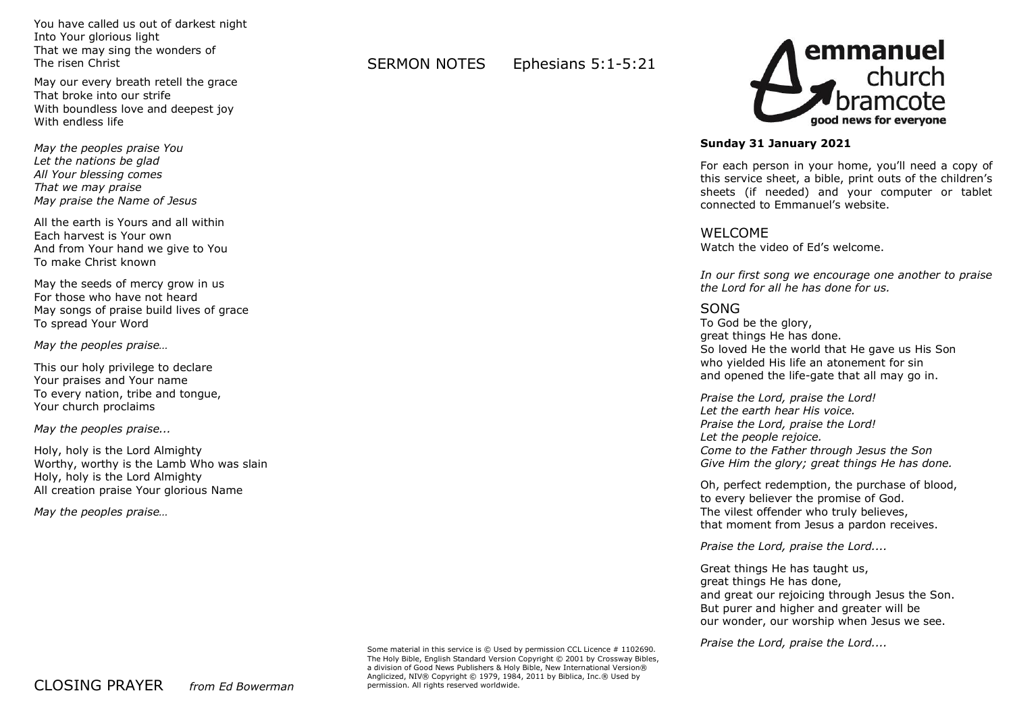You have called us out of darkest night Into Your glorious light That we may sing the wonders of The risen Christ

May our every breath retell the grace That broke into our strife With boundless love and deepest joy With endless life

*May the peoples praise You Let the nations be glad All Your blessing comes That we may praise May praise the Name of Jesus* 

All the earth is Yours and all within Each harvest is Your own And from Your hand we give to You To make Christ known

May the seeds of mercy grow in us For those who have not heard May songs of praise build lives of grace To spread Your Word

*May the peoples praise…*

This our holy privilege to declare Your praises and Your name To every nation, tribe and tongue, Your church proclaims

*May the peoples praise...*

Holy, holy is the Lord Almighty Worthy, worthy is the Lamb Who was slain Holy, holy is the Lord Almighty All creation praise Your glorious Name

*May the peoples praise…*

SERMON NOTES Ephesians 5:1-5:21



## **Sunday 31 January 2021**

For each person in your home, you'll need a copy of this service sheet, a bible, print outs of the children's sheets (if needed) and your computer or tablet connected to Emmanuel's website.

## WELCOME

Watch the video of Ed's welcome.

*In our first song we encourage one another to praise the Lord for all he has done for us.*

# SONG

To God be the glory, great things He has done. So loved He the world that He gave us His Son who yielded His life an atonement for sin and opened the life-gate that all may go in.

*Praise the Lord, praise the Lord! Let the earth hear His voice. Praise the Lord, praise the Lord! Let the people rejoice. Come to the Father through Jesus the Son Give Him the glory; great things He has done.*

Oh, perfect redemption, the purchase of blood, to every believer the promise of God. The vilest offender who truly believes, that moment from Jesus a pardon receives.

*Praise the Lord, praise the Lord....*

Great things He has taught us, great things He has done, and great our rejoicing through Jesus the Son. But purer and higher and greater will be our wonder, our worship when Jesus we see.

*Praise the Lord, praise the Lord....*

Some material in this service is  $\odot$  Used by permission CCL Licence # 1102690. The Holy Bible, English Standard Version Copyright © 2001 by Crossway Bibles, a division of Good News Publishers & Holy Bible, New International Version® Anglicized, NIV® Copyright © 1979, 1984, 2011 by Biblica, Inc.® Used by permission. All rights reserved worldwide.

CLOSING PRAYER *from Ed Bowerman*